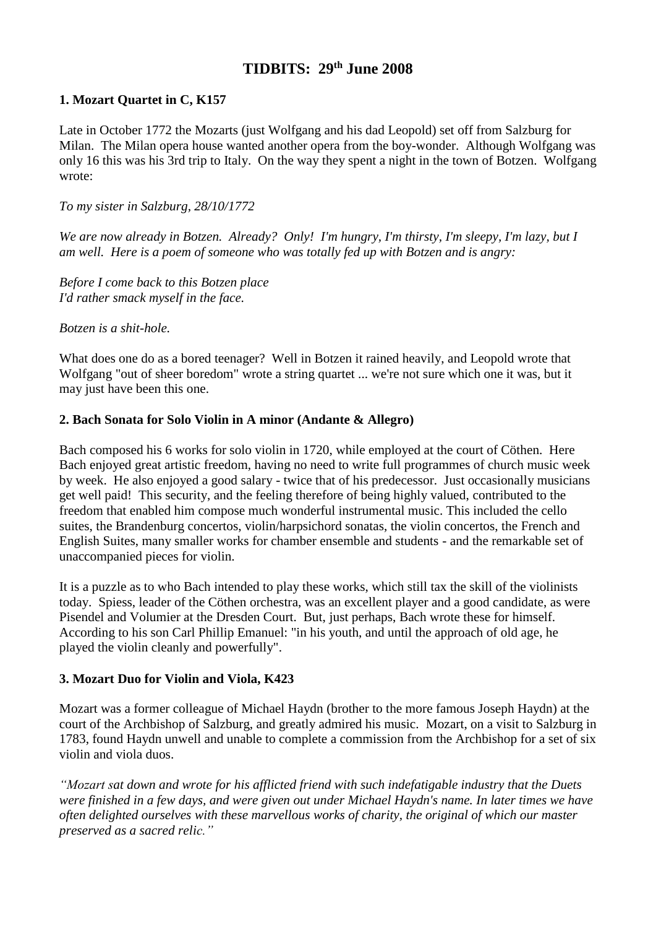# **TIDBITS: 29th June 2008**

## **1. Mozart Quartet in C, K157**

Late in October 1772 the Mozarts (just Wolfgang and his dad Leopold) set off from Salzburg for Milan. The Milan opera house wanted another opera from the boy-wonder. Although Wolfgang was only 16 this was his 3rd trip to Italy. On the way they spent a night in the town of Botzen. Wolfgang wrote:

*To my sister in Salzburg, 28/10/1772* 

*We are now already in Botzen. Already? Only! I'm hungry, I'm thirsty, I'm sleepy, I'm lazy, but I am well. Here is a poem of someone who was totally fed up with Botzen and is angry:* 

*Before I come back to this Botzen place I'd rather smack myself in the face.* 

## *Botzen is a shit-hole.*

What does one do as a bored teenager? Well in Botzen it rained heavily, and Leopold wrote that Wolfgang "out of sheer boredom" wrote a string quartet ... we're not sure which one it was, but it may just have been this one.

## **2. Bach Sonata for Solo Violin in A minor (Andante & Allegro)**

Bach composed his 6 works for solo violin in 1720, while employed at the court of Cöthen. Here Bach enjoyed great artistic freedom, having no need to write full programmes of church music week by week. He also enjoyed a good salary - twice that of his predecessor. Just occasionally musicians get well paid! This security, and the feeling therefore of being highly valued, contributed to the freedom that enabled him compose much wonderful instrumental music. This included the cello suites, the Brandenburg concertos, violin/harpsichord sonatas, the violin concertos, the French and English Suites, many smaller works for chamber ensemble and students - and the remarkable set of unaccompanied pieces for violin.

It is a puzzle as to who Bach intended to play these works, which still tax the skill of the violinists today. Spiess, leader of the Cöthen orchestra, was an excellent player and a good candidate, as were Pisendel and Volumier at the Dresden Court. But, just perhaps, Bach wrote these for himself. According to his son Carl Phillip Emanuel: "in his youth, and until the approach of old age, he played the violin cleanly and powerfully".

## **3. Mozart Duo for Violin and Viola, K423**

Mozart was a former colleague of Michael Haydn (brother to the more famous Joseph Haydn) at the court of the Archbishop of Salzburg, and greatly admired his music. Mozart, on a visit to Salzburg in 1783, found Haydn unwell and unable to complete a commission from the Archbishop for a set of six violin and viola duos.

*"Mozart sat down and wrote for his afflicted friend with such indefatigable industry that the Duets were finished in a few days, and were given out under Michael Haydn's name. In later times we have often delighted ourselves with these marvellous works of charity, the original of which our master preserved as a sacred relic."*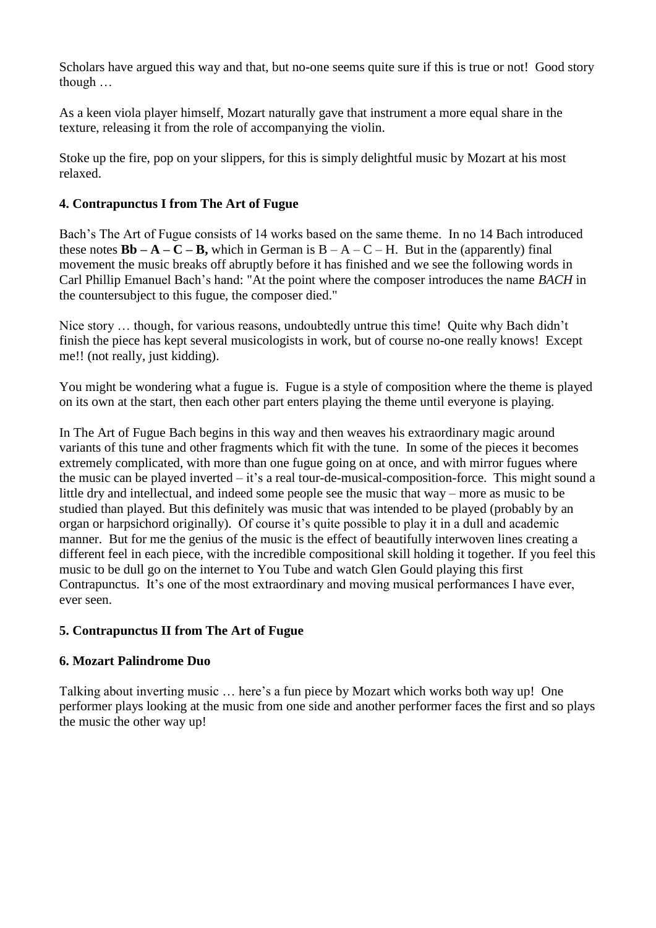Scholars have argued this way and that, but no-one seems quite sure if this is true or not! Good story though …

As a keen viola player himself, Mozart naturally gave that instrument a more equal share in the texture, releasing it from the role of accompanying the violin.

Stoke up the fire, pop on your slippers, for this is simply delightful music by Mozart at his most relaxed.

# **4. Contrapunctus I from The Art of Fugue**

Bach's The Art of Fugue consists of 14 works based on the same theme. In no 14 Bach introduced these notes  $\mathbf{B}\mathbf{b} - \mathbf{A} - \mathbf{C} - \mathbf{B}$ , which in German is  $\mathbf{B} - \mathbf{A} - \mathbf{C} - \mathbf{H}$ . But in the (apparently) final movement the music breaks off abruptly before it has finished and we see the following words in Carl Phillip Emanuel Bach's hand: "At the point where the composer introduces the name *BACH* in the countersubject to this fugue, the composer died."

Nice story … though, for various reasons, undoubtedly untrue this time! Quite why Bach didn't finish the piece has kept several musicologists in work, but of course no-one really knows! Except me!! (not really, just kidding).

You might be wondering what a fugue is. Fugue is a style of composition where the theme is played on its own at the start, then each other part enters playing the theme until everyone is playing.

In The Art of Fugue Bach begins in this way and then weaves his extraordinary magic around variants of this tune and other fragments which fit with the tune. In some of the pieces it becomes extremely complicated, with more than one fugue going on at once, and with mirror fugues where the music can be played inverted – it's a real tour-de-musical-composition-force. This might sound a little dry and intellectual, and indeed some people see the music that way – more as music to be studied than played. But this definitely was music that was intended to be played (probably by an organ or harpsichord originally). Of course it's quite possible to play it in a dull and academic manner. But for me the genius of the music is the effect of beautifully interwoven lines creating a different feel in each piece, with the incredible compositional skill holding it together. If you feel this music to be dull go on the internet to You Tube and watch Glen Gould playing this first Contrapunctus. It's one of the most extraordinary and moving musical performances I have ever, ever seen.

# **5. Contrapunctus II from The Art of Fugue**

# **6. Mozart Palindrome Duo**

Talking about inverting music … here's a fun piece by Mozart which works both way up! One performer plays looking at the music from one side and another performer faces the first and so plays the music the other way up!